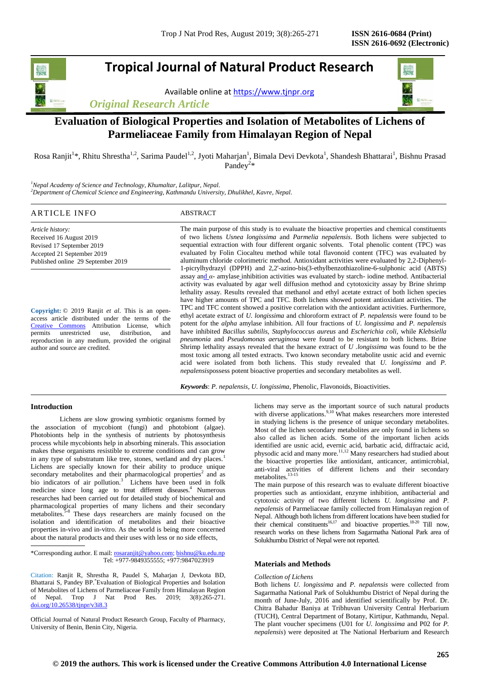# **Tropical Journal of Natural Product Research**

Available online a[t https://www.tjnpr.org](https://www.tjnpr.org/)

*Original Research Article*



# **Evaluation of Biological Properties and Isolation of Metabolites of Lichens of Parmeliaceae Family from Himalayan Region of Nepal**

Rosa Ranjit<sup>1</sup>\*, Rhitu Shrestha<sup>1,2</sup>, Sarima Paudel<sup>1,2</sup>, Jyoti Maharjan<sup>1</sup>, Bimala Devi Devkota<sup>1</sup>, Shandesh Bhattarai<sup>1</sup>, Bishnu Prasad Pandey<sup>2\*</sup>

*<sup>1</sup>Nepal Academy of Science and Technology, Khumaltar, Lalitpur, Nepal. <sup>2</sup>Department of Chemical Science and Engineering, Kathmandu University, Dhulikhel, Kavre, Nepal.*

# ARTICLE INFO ABSTRACT

*Article history:* Received 16 August 2019 Revised 17 September 2019 Accepted 21 September 2019 Published online 29 September 2019

**Copyright:** © 2019 Ranjit *et al*. This is an openaccess article distributed under the terms of the [Creative Commons](https://creativecommons.org/licenses/by/4.0/) Attribution License, which permits unrestricted use, distribution, and reproduction in any medium, provided the original author and source are credited.

The main purpose of this study is to evaluate the bioactive properties and chemical constituents of two lichens *Usnea longissima* and *Parmelia nepalensis*. Both lichens were subjected to sequential extraction with four different organic solvents. Total phenolic content (TPC) was evaluated by Folin Ciocalteu method while total flavonoid content (TFC) was evaluated by aluminum chloride colorimetric method. Antioxidant activities were evaluated by 2,2-Diphenyl-1-picrylhydrazyl (DPPH) and 2,2'-azino-bis(3-ethylbenzothiazoline-6-sulphonic acid (ABTS) assay and *α*- amylase inhibition activities was evaluated by starch- iodine method. Antibacterial activity was evaluated by agar well diffusion method and cytotoxicity assay by Brine shrimp lethality assay. Results revealed that methanol and ethyl acetate extract of both lichen species have higher amounts of TPC and TFC. Both lichens showed potent antioxidant activities. The TPC and TFC content showed a positive correlation with the antioxidant activities. Furthermore, ethyl acetate extract of *U. longissima* and chloroform extract of *P. nepalensis* were found to be potent for the *alpha* amylase inhibition. All four fractions of *U. longissima* and *P. nepalensis* have inhibited *Bacillus subtilis*, *Staphylococcus aureus* and *Escherichia coli,* while *Klebsiella pneumonia* and *Pseudomonas aeruginosa* were found to be resistant to both lichens. Brine Shrimp lethality assays revealed that the hexane extract of *U .longissima* was found to be the most toxic among all tested extracts. Two known secondary metabolite usnic acid and evernic acid were isolated from both lichens. This study revealed that *U. longissima* and *P. nepalensis*possess potent bioactive properties and secondary metabolites as well.

*Keywords*: *P. nepalensis*, *U. longissima*, Phenolic, Flavonoids, Bioactivities.

# **Introduction**

Lichens are slow growing symbiotic organisms formed by the association of mycobiont (fungi) and photobiont (algae). Photobionts help in the synthesis of nutrients by photosynthesis process while mycobionts help in absorbing minerals. This association makes these organisms resistible to extreme conditions and can grow in any type of substratum like tree, stones, wetland and dry places[.](#page-5-0) Lichens are specially known for their ability to produce unique  $secondary$  metabolites and their pharmacological properties<sup>[2](#page-5-1)</sup> and as bioindicators of air pollution.<sup>3</sup> Lichens have been used in folk medicine since long age to treat different disease[s.](#page-5-3)<sup>4</sup> Numerous researches had been carried out for detailed study of biochemical and pharmacological properties of many lichens and their secondary metabolites.<sup>3-8</sup> These days researchers are mainly focused on the isolation and identification of metabolites and their bioactive properties in-vivo and in-vitro. As the world is being more concerned about the natural products and their uses with less or no side effects,

\*Corresponding author. E mail[: rosaranjit@yahoo.com;](mailto:rosaranjit@yahoo.com) [bishnu@ku.edu.np](mailto:bishnu@ku.edu.np) Tel: +977-9849355555; +977:9847023919

Citation: Ranjit R, Shrestha R, Paudel S, Maharjan J, Devkota BD, Bhattarai S, Pandey BP.\*Evaluation of Biological Properties and Isolation of Metabolites of Lichens of Parmeliaceae Family from Himalayan Region of Nepal. Trop J Nat Prod Res. 2019; 3(8):265-271. [doi.org/10.26538/tjnpr/v3i8.3](http://www.doi.org/10.26538/tjnpr/v1i4.5)

Official Journal of Natural Product Research Group, Faculty of Pharmacy, University of Benin, Benin City, Nigeria.

lichens may serve as the important source of such natural products with diverse applications.<sup>[9,](#page-5-5)[10](#page-5-6)</sup> What makes researchers more interested in studying lichens is the presence of unique secondary metabolites. Most of the lichen secondary metabolites are only found in lichens so also called as lichen acids. Some of the important lichen acids identified are usnic acid, evernic acid, barbatic acid, diffractaic acid, physodic acid and many more.<sup>[11,](#page-5-7)[12](#page-5-8)</sup> Many researchers had studied about the bioactive properties like antioxidant, anticancer, antimicrobial, anti-viral activities of different lichens and their secondary metabolites.<sup>[13-15](#page-5-9)</sup>

The main purpose of this research was to evaluate different bioactive properties such as antioxidant, enzyme inhibition, antibacterial and cytotoxic activity of two different lichens *U. longissima* and *P. nepalensis* of Parmeliaceae family collected from Himalayan region of Nepal. Although both lichens from different locations have been studied for their chemical constituents<sup>[16,](#page-5-10)[17](#page-5-11)</sup> and bioactive properties.<sup>[18-20](#page-5-12)</sup> Till now, research works on these lichens from Sagarmatha National Park area of Solukhumbu District of Nepal were not reported.

# **Materials and Methods**

# *Collection of Lichens*

Both lichens *U. longissima* and *P. nepalensis* were collected from Sagarmatha National Park of Solukhumbu District of Nepal during the month of June-July, 2016 and identified scientifically by Prof. Dr. Chitra Bahadur Baniya at Tribhuvan University Central Herbarium (TUCH), Central Department of Botany, Kirtipur, Kathmandu, Nepal. The plant voucher specimens (U01 for *U. longissima* and P02 for *P. nepalensis*) were deposited at The National Herbarium and Research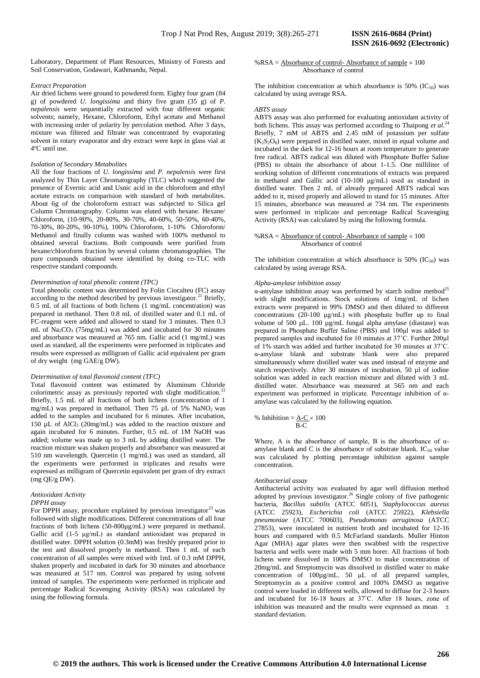*Extract Preparation*

Air dried lichens were ground to powdered form. Eighty four gram (84 g) of powdered *U. longissima* and thirty five gram (35 g) of *P. nepalensis* were sequentially extracted with four different organic solvents; namely, Hexane, Chloroform, Ethyl acetate and Methanol with increasing order of polarity by percolation method. After 3 days, mixture was filtered and filtrate was concentrated by evaporating solvent in rotary evaporator and dry extract were kept in glass vial at 4ºC until use.

#### *Isolation of Secondary Metabolites*

Soil Conservation, Godawari, Kathmandu, Nepal.

All the four fractions of *U. longissima* and *P. nepalensis* were first analyzed by Thin Layer Chromatography (TLC) which suggested the presence of Evernic acid and Usnic acid in the chloroform and ethyl acetate extracts on comparision with standard of both metabolites. About 6g of the choloroform extract was subjected to Silica gel Column Chromatography. Column was eluted with hexane. Hexane/ Chloroform, (10-90%, 20-80%, 30-70%, 40-60%, 50-50%, 60-40%, 70-30%, 80-20%, 90-10%), 100% Chloroform, 1-10% Chloroform/ Methanol and finally column was washed with 100% methanol to obtained several fractions. Both compounds were purified from hexane/chloroform fraction by several column chromatographies. The pure compounds obtained were identified by doing co-TLC with respective standard compounds.

# *Determination of total phenolic content (TPC)*

Total phenolic content was determined by Folin Ciocalteu (FC) assay according to the method described by previous investigator.<sup>[21](#page-6-0)</sup> Briefly, 0.5 mL of all fractions of both lichens (1 mg/mL concentration) was prepared in methanol. Then 0.8 mL of distilled water and 0.1 mL of FC-reagent were added and allowed to stand for 3 minutes. Then 0.3 mL of Na<sub>2</sub>CO<sub>3</sub> (75mg/mL) was added and incubated for 30 minutes and absorbance was measured at 765 nm. Gallic acid (1 mg/mL) was used as standard, all the experiments were performed in triplicates and results were expressed as milligram of Gallic acid equivalent per gram of dry weight (mg GAE/g DW).

#### *Determination of total flavonoid content (TFC)*

Total flavonoid content was estimated by Aluminum Chloride colorimetric assay as previously reported with slight modification.<sup>[22](#page-6-1)</sup> Briefly, 1.5 mL of all fractions of both lichens (concentration of 1 mg/mL) was prepared in methanol. Then 75  $\mu$ L of 5% NaNO<sub>2</sub> was added to the samples and incubated for 6 minutes. After incubation, 150  $\mu$ L of AlCl<sub>3</sub> (20mg/mL) was added to the reaction mixture and again incubated for 6 minutes. Further, 0.5 mL of 1M NaOH was added; volume was made up to 3 mL by adding distilled water. The reaction mixture was shaken properly and absorbance was measured at 510 nm wavelength. Quercetin (1 mg/mL) was used as standard, all the experiments were performed in triplicates and results were expressed as milligram of Quercetin equivalent per gram of dry extract (mg QE/g DW).

#### *Antioxidant Activity DPPH assay*

For DPPH assay, procedure explained by previous investigator<sup>[23](#page-6-2)</sup> was followed with slight modifications. Different concentrations of all four fractions of both lichens (50-800µg/mL) were prepared in methanol. Gallic acid (1-5 μg/mL) as standard antioxidant was prepared in distilled water. DPPH solution (0.3mM) was freshly prepared prior to the test and dissolved properly in methanol. Then 1 mL of each concentration of all samples were mixed with 1mL of 0.3 mM DPPH, shaken properly and incubated in dark for 30 minutes and absorbance was measured at 517 nm. Control was prepared by using solvent instead of samples. The experiments were performed in triplicate and percentage Radical Scavenging Activity (RSA) was calculated by using the following formula.

#### %RSA =  $\Delta$ bsorbance of control- Absorbance of sample  $\times$  100 Absorbance of control

The inhibition concentration at which absorbance is 50% ( $IC_{50}$ ) was calculated by using average RSA.

#### *ABTS assay*

ABTS assay was also performed for evaluating antioxidant activity of both lichens. This assay was performed according to Thaipong et al.<sup>[24](#page-6-3)</sup> Briefly, 7 mM of ABTS and 2.45 mM of potassium per sulfate  $(K_2S_2O_8)$  were prepared in distilled water, mixed in equal volume and incubated in the dark for 12-16 hours at room temperature to generate free radical. ABTS radical was diluted with Phosphate Buffer Saline (PBS) to obtain the absorbance of about 1-1.5. One milliliter of working solution of different concentrations of extracts was prepared in methanol and Gallic acid (10-100 μg/mL) used as standard in distilled water. Then 2 mL of already prepared ABTS radical was added to it, mixed properly and allowed to stand for 15 minutes. After 15 minutes, absorbance was measured at 734 nm. The experiments were performed in triplicate and percentage Radical Scavenging Activity (RSA) was calculated by using the following formula.

#### %RSA =  $\Delta$ bsorbance of control- Absorbance of sample  $\times$  100 Absorbance of control

The inhibition concentration at which absorbance is 50%  $(IC_{50})$  was calculated by using average RSA.

# *Alpha-amylase inhibition assay*

α-amylase inhibition assay was performed by starch iodine method<sup>[25](#page-6-4)</sup> with slight modifications. Stock solutions of 1mg/mL of lichen extracts were prepared in 99% DMSO and then diluted to different concentrations (20-100  $\mu$ g/mL) with phosphate buffer up to final volume of 500 µL. 100 µg/mL fungal alpha amylase (diastase) was prepared in Phosphate Buffer Saline (PBS) and 100μl was added to prepared samples and incubated for 10 minutes at 37˚C. Further 200µl of 1% starch was added and further incubated for 30 minutes at 37˚C. α-amylase blank and substrate blank were also prepared simultaneously where distilled water was used instead of enzyme and starch respectively. After 30 minutes of incubation, 50 µl of iodine solution was added in each reaction mixture and diluted with 3 mL distilled water. Absorbance was measured at 565 nm and each experiment was performed in triplicate. Percentage inhibition of αamylase was calculated by the following equation.

% Inhibition =  $A-C \times 100$ B-C

Where, A is the absorbance of sample, B is the absorbance of  $\alpha$ amylase blank and C is the absorbance of substrate blank.  $IC_{50}$  value was calculated by plotting percentage inhibition against sample concentration.

# *Antibacterial assay*

Antibacterial activity was evaluated by agar well diffusion method adopted by previous investigator.<sup>[26](#page-6-5)</sup> Single colony of five pathogenic bacteria, *Bacillus subtilis* (ATCC 6051), *Staphylococcus aureus* (ATCC 25923), *Escherichia coli* (ATCC 25922), *Klebsiella pneumoniae* (ATCC 700603), *Pseudomonas aeruginosa* (ATCC 27853), were inoculated in nutrient broth and incubated for 12-16 hours and compared with 0.5 McFarland standards. Muller Hinton Agar (MHA) agar plates were then swabbed with the respective bacteria and wells were made with 5 mm borer. All fractions of both lichens were dissolved in 100% DMSO to make concentration of 20mg/mL and Streptomycin was dissolved in distilled water to make concentration of 100µg/mL. 50 μL of all prepared samples, Streptomycin as a positive control and 100% DMSO as negative control were loaded in different wells, allowed to diffuse for 2-3 hours and incubated for 16-18 hours at 37˚C. After 18 hours, zone of inhibition was measured and the results were expressed as mean  $\pm$ standard deviation.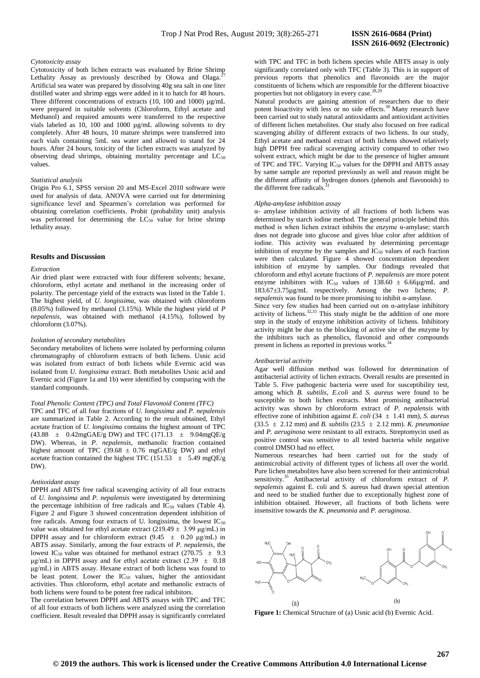#### *Cytotoxicity assay*

Cytotoxicity of both lichen extracts was evaluated by Brine Shrimp Lethality Assay as previously described by Olowa and Olaga.<sup>2</sup> Artificial sea water was prepared by dissolving 40g sea salt in one liter distilled water and shrimp eggs were added in it to hatch for 48 hours. Three different concentrations of extracts (10, 100 and 1000) µg/mL were prepared in suitable solvents (Chloroform, Ethyl acetate and Methanol) and required amounts were transferred to the respective vials labeled as 10, 100 and 1000 µg/mL allowing solvents to dry completely. After 48 hours, 10 mature shrimps were transferred into each vials containing 5mL sea water and allowed to stand for 24 hours. After 24 hours, toxicity of the lichen extracts was analyzed by observing dead shrimps, obtaining mortality percentage and  $LC_{50}$ values.

## *Statistical analysis*

Origin Pro 6.1, SPSS version 20 and MS-Excel 2010 software were used for analysis of data. ANOVA were carried out for determining significance level and Spearmen's correlation was performed for obtaining correlation coefficients. Probit (probability unit) analysis was performed for determining the  $LC_{50}$  value for brine shrimp lethality assay.

# **Results and Discussion**

# *Extraction*

Air dried plant were extracted with four different solvents; hexane, chloroform, ethyl acetate and methanol in the increasing order of polarity. The percentage yield of the extracts was listed in the Table 1. The highest yield, of *U. longissima*, was obtained with chloroform (8.05%) followed by methanol (3.15%). While the highest yield of *P nepalensis*, was obtained with methanol (4.15%), followed by chloroform (3.07%).

#### *Isolation of secondary metabolites*

Secondary metabolites of lichens were isolated by performing column chromatography of chloroform extracts of both lichens. Usnic acid was isolated from extract of both lichens while Evernic acid was isolated from *U. longissima* extract. Both metabolites Usnic acid and Evernic acid (Figure 1a and 1b) were identified by comparing with the standard compounds.

#### *Total Phenolic Content (TPC) and Total Flavonoid Content (TFC)*

TPC and TFC of all four fractions of *U. longissima* and *P. nepalensis* are summarized in Table 2. According to the result obtained, Ethyl acetate fraction of *U. longissima* contains the highest amount of TPC  $(43.88 \pm 0.42 \text{mgGAE/g DW})$  and TFC  $(171.13 \pm 9.04 \text{mgQE/g})$ DW). Whereas, in *P. nepalensis*, methanolic fraction contained highest amount of TPC (39.68  $\pm$  0.76 mgGAE/g DW) and ethyl acetate fraction contained the highest TFC (151.53  $\pm$  5.49 mgQE/g DW)

# *Antioxidant assay*

DPPH and ABTS free radical scavenging activity of all four extracts of *U. longissima* and *P. nepalensis* were investigated by determining the percentage inhibition of free radicals and  $IC_{50}$  values (Table 4). Figure 2 and Figure 3 showed concentration dependent inhibition of free radicals. Among four extracts of U. longissima, the lowest  $IC_{50}$ value was obtained for ethyl acetate extract (219.49  $\pm$  3.99 μg/mL) in DPPH assay and for chloroform extract  $(9.45 \pm 0.20 \text{ µg/mL})$  in ABTS assay. Similarly, among the four extracts of *P. nepalensis*, the lowest IC<sub>50</sub> value was obtained for methanol extract (270.75  $\pm$  9.3  $\mu$ g/mL) in DPPH assay and for ethyl acetate extract (2.39  $\pm$  0.18 μg/mL) in ABTS assay. Hexane extract of both lichens was found to be least potent. Lower the  $IC_{50}$  values, higher the antioxidant activities. Thus chloroform, ethyl acetate and methanolic extracts of both lichens were found to be potent free radical inhibitors.

The correlation between DPPH and ABTS assays with TPC and TFC of all four extracts of both lichens were analyzed using the correlation coefficient. Result revealed that DPPH assay is significantly correlated

with TPC and TFC in both lichens species while ABTS assay is only significantly correlated only with TFC (Table 3). This is in support of previous reports that phenolics and flavonoids are the major constituents of lichens which are responsible for the different bioactive properties but not obligatory in every case.<sup>[28,](#page-6-7)[29](#page-6-8)</sup>

Natural products are gaining attention of researchers due to their potent bioactivity with less or no side effects.<sup>[30](#page-6-9)</sup> Many research have been carried out to study natural antioxidants and antioxidant activities of different lichen metabolites. Our study also focused on free radical scavenging ability of different extracts of two lichens. In our study, Ethyl acetate and methanol extract of both lichens showed relatively high DPPH free radical scavenging activity compared to other two solvent extract, which might be due to the presence of higher amount of TPC and TFC. Varying IC<sub>50</sub> values for the DPPH and ABTS assay by same sample are reported previously as well and reason might be the different affinity of hydrogen donors (phenols and flavonoids) to the different free radicals.<sup>[31](#page-6-10)</sup>

#### *Alpha-amylase inhibition assay*

α- amylase inhibition activity of all fractions of both lichens was determined by starch iodine method. The general principle behind this method is when lichen extract inhibits the enzyme  $\alpha$ -amylase; starch does not degrade into glucose and gives blue color after addition of iodine. This activity was evaluated by determining percentage inhibition of enzyme by the samples and  $IC_{50}$  values of each fraction were then calculated. Figure 4 showed concentration dependent inhibition of enzyme by samples. Our findings revealed that chloroform and ethyl acetate fractions of *P. nepalensis* are more potent enzyme inhibitors with IC<sub>50</sub> values of 138.60  $\pm$  6.66µg/mL and 183.67±3.75µg/mL respectively. Among the two lichens; *P. nepalensis* was found to be more promising to inhibit α-amylase.

Since very few studies had been carried out on  $\alpha$ -amylase inhibitory activity of lichens.<sup>[32,](#page-6-11)[33](#page-6-12)</sup> This study might be the addition of one more step in the study of enzyme inhibition activity of lichens. Inhibitory activity might be due to the blocking of active site of the enzyme by the inhibitors such as phenolics, flavonoid and other compounds present in lichens as reported in previous works.<sup>3</sup>

#### *Antibacterial activity*

Agar well diffusion method was followed for determination of antibacterial activity of lichen extracts. Overall results are presented in Table 5. Five pathogenic bacteria were used for susceptibility test, among which *B. subtilis*, *E.coli* and *S. aureus* were found to be susceptible to both lichen extracts. Most promising antibacterial activity was shown by chloroform extract of *P. nepalensis* with effective zone of inhibition against *E. coli* (34 ± 1.41 mm), *S. aureus* (33.5 ± 2.12 mm) and *B. subtilis* (23.5 ± 2.12 mm). *K. pneumoniae* and *P. aeruginosa* were resistant to all extracts. Streptomycin used as positive control was sensitive to all tested bacteria while negative control DMSO had no effect.

Numerous researches had been carried out for the study of antimicrobial activity of different types of lichens all over the world. Pure lichen metabolites have also been screened for their antimicrobial sensitivity.<sup>[35](#page-6-14)</sup> Antibacterial activity of chloroform extract of *P*. *nepalensis* against E. coli and S. aureus had drawn special attention and need to be studied further due to exceptionally highest zone of inhibition obtained. However, all fractions of both lichens were insensitive towards the *K. pneumonia* and *P. aeruginosa*.



**Figure 1:** Chemical Structure of (a) Usnic acid (b) Evernic Acid.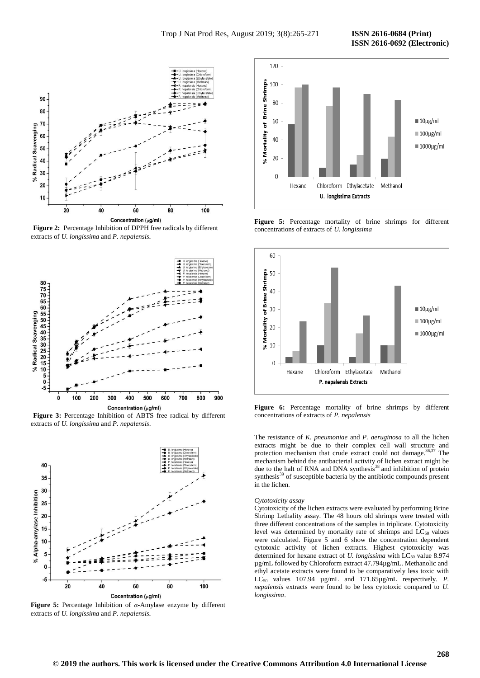

**Figure 2:** Percentage Inhibition of DPPH free radicals by different extracts of *U. longissima* and *P. nepalensis.*







**Figure 5:** Percentage Inhibition of *α*-Amylase enzyme by different extracts of *U. longissima* and *P. nepalensis.*



**Figure 5:** Percentage mortality of brine shrimps for different concentrations of extracts of *U. longissima*



**Figure 6:** Percentage mortality of brine shrimps by different concentrations of extracts of *P. nepalensis*

The resistance of *K. pneumoniae* and *P. aeruginosa* to all the lichen extracts might be due to their complex cell wall structure and protection mechanism that crude extract could not damage.<sup>[36,](#page-6-15)[37](#page-6-16)</sup> The mechanism behind the antibacterial activity of lichen extract might be due to the halt of RNA and DNA synthesis<sup>[38](#page-6-17)</sup> and inhibition of protein synthesis<sup>[39](#page-6-18)</sup> of susceptible bacteria by the antibiotic compounds present in the lichen.

#### *Cytotoxicity assay*

Cytotoxicity of the lichen extracts were evaluated by performing Brine Shrimp Lethality assay. The 48 hours old shrimps were treated with three different concentrations of the samples in triplicate. Cytotoxicity level was determined by mortality rate of shrimps and LC<sub>50</sub> values were calculated. Figure 5 and 6 show the concentration dependent cytotoxic activity of lichen extracts. Highest cytotoxicity was determined for hexane extract of *U. longissima* with LC<sub>50</sub> value 8.974 µg/mL followed by Chloroform extract 47.794µg/mL. Methanolic and ethyl acetate extracts were found to be comparatively less toxic with LC<sub>50</sub> values 107.94 µg/mL and 171.65µg/mL respectively. *P*. *nepalensis* extracts were found to be less cytotoxic compared to *U. longissima*.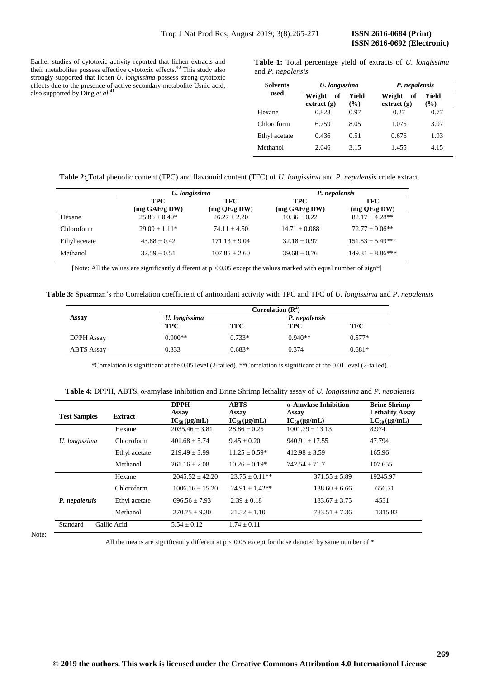Earlier studies of cytotoxic activity reported that lichen extracts and their metabolites possess effective cytotoxic effects.<sup>[40](#page-6-19)</sup> This study also strongly supported that lichen *U. longissima* possess strong cytotoxic effects due to the presence of active secondary metabolite Usnic acid, also supported by Ding *et al*. [41](#page-6-20)

**Table 1:** Total percentage yield of extracts of *U. longissima* and *P. nepalensis*

| <b>Solvents</b> | U. longissima                    |                        | P. nepalensis                |                        |  |
|-----------------|----------------------------------|------------------------|------------------------------|------------------------|--|
| used            | Weight<br>- of<br>$ext{ract}(g)$ | Yield<br>$\frac{9}{6}$ | Weight<br>- of<br>extract(g) | Yield<br>$\frac{9}{6}$ |  |
| Hexane          | 0.823                            | 0.97                   | 0.27                         | 0.77                   |  |
| Chloroform      | 6.759                            | 8.05                   | 1.075                        | 3.07                   |  |
| Ethyl acetate   | 0.436                            | 0.51                   | 0.676                        | 1.93                   |  |
| Methanol        | 2.646                            | 3.15                   | 1.455                        | 4.15                   |  |

**Table 2:** Total phenolic content (TPC) and flavonoid content (TFC) of *U. longissima* and *P. nepalensis* crude extract.

|               |                             | U. longissima     |                             | P. nepalensis              |
|---------------|-----------------------------|-------------------|-----------------------------|----------------------------|
|               | <b>TPC</b><br>(mg GAE/g DW) | TFC.              | <b>TPC</b><br>(mg GAE/g DW) | <b>TFC</b><br>(mg QE/g DW) |
| Hexane        | $25.86 \pm 0.40^*$          | $26.27 + 2.20$    | $10.36 + 0.22$              | $82.17 + 4.28**$           |
| Chloroform    | $29.09 + 1.11*$             | $74.11 + 4.50$    | $14.71 \pm 0.088$           | $72.77 + 9.06**$           |
| Ethyl acetate | $43.88 + 0.42$              | $171.13 \pm 9.04$ | $32.18 + 0.97$              | $151.53 \pm 5.49***$       |
| Methanol      | $32.59 + 0.51$              | $107.85 + 2.60$   | $39.68 + 0.76$              | $149.31 \pm 8.86***$       |

[Note: All the values are significantly different at  $p < 0.05$  except the values marked with equal number of sign\*]

**Table 3:** Spearman's rho Correlation coefficient of antioxidant activity with TPC and TFC of *U. longissima* and *P. nepalensis*

|                   | Correlation $(R^2)$ |          |               |          |  |
|-------------------|---------------------|----------|---------------|----------|--|
| Assay             | U. longissima       |          | P. nepalensis |          |  |
|                   | TPC                 | TFC      | <b>TPC</b>    | TFC      |  |
| <b>DPPH</b> Assay | $0.900**$           | $0.733*$ | $0.940**$     | $0.577*$ |  |
| <b>ABTS</b> Assay | 0.333               | $0.683*$ | 0.374         | $0.681*$ |  |

\*Correlation is significant at the 0.05 level (2-tailed). \*\*Correlation is significant at the 0.01 level (2-tailed).

|  | Table 4: DPPH, ABTS, $\alpha$ -amylase inhibition and Brine Shrimp lethality assay of U. longissima and P. nepalensing |  |  |
|--|------------------------------------------------------------------------------------------------------------------------|--|--|
|--|------------------------------------------------------------------------------------------------------------------------|--|--|

| <b>Test Samples</b>     | <b>Extract</b> | <b>DPPH</b><br>Assay<br>$IC_{50}$ (µg/mL) | <b>ABTS</b><br>Assay<br>$IC_{50}$ (µg/mL) | α-Amylase Inhibition<br>Assay<br>$IC_{50}$ (µg/mL) | <b>Brine Shrimp</b><br><b>Lethality Assay</b><br>$LC_{50}$ (µg/mL) |
|-------------------------|----------------|-------------------------------------------|-------------------------------------------|----------------------------------------------------|--------------------------------------------------------------------|
|                         | Hexane         | $2035.46 \pm 3.81$                        | $28.86 \pm 0.25$                          | $1001.79 \pm 13.13$                                | 8.974                                                              |
| U. longissima           | Chloroform     | $401.68 + 5.74$                           | $9.45 + 0.20$                             | $940.91 + 17.55$                                   | 47.794                                                             |
|                         | Ethyl acetate  | $219.49 + 3.99$                           | $11.25 \pm 0.59*$                         | $412.98 + 3.59$                                    | 165.96                                                             |
|                         | Methanol       | $261.16 + 2.08$                           | $10.26 \pm 0.19*$                         | $742.54 + 71.7$                                    | 107.655                                                            |
|                         | Hexane         | $2045.52 + 42.20$                         | $23.75 \pm 0.11**$                        | $371.55 + 5.89$                                    | 19245.97                                                           |
|                         | Chloroform     | $1006.16 + 15.20$                         | $24.91 + 1.42**$                          | $138.60 + 6.66$                                    | 656.71                                                             |
| P. nepalensis           | Ethyl acetate  | $696.56 + 7.93$                           | $2.39 + 0.18$                             | $183.67 + 3.75$                                    | 4531                                                               |
|                         | Methanol       | $270.75 \pm 9.30$                         | $21.52 + 1.10$                            | $783.51 \pm 7.36$                                  | 1315.82                                                            |
| Standard<br>Gallic Acid |                | $5.54 \pm 0.12$                           | $1.74 \pm 0.11$                           |                                                    |                                                                    |

Note:

All the means are significantly different at  $p < 0.05$  except for those denoted by same number of  $*$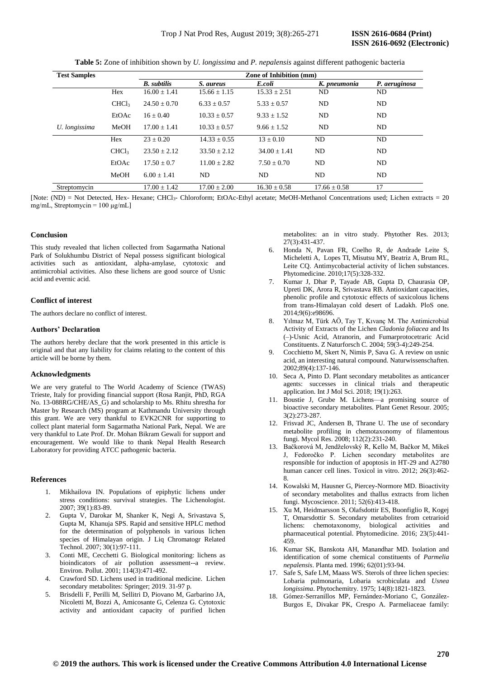| <b>Test Samples</b> |                   | <b>Zone of Inhibition (mm)</b> |                  |                  |                  |               |
|---------------------|-------------------|--------------------------------|------------------|------------------|------------------|---------------|
|                     |                   | <b>B.</b> subtilis             | S. aureus        | E.coli           | K. pneumonia     | P. aeruginosa |
|                     | Hex               | $16.00 \pm 1.41$               | $15.66 \pm 1.15$ | $15.33 \pm 2.51$ | ND               | ND            |
|                     | CHCl <sub>3</sub> | $24.50 + 0.70$                 | $6.33 + 0.57$    | $5.33 \pm 0.57$  | ND               | ND            |
|                     | EtOAc             | $16 + 0.40$                    | $10.33 \pm 0.57$ | $9.33 \pm 1.52$  | ND               | ND            |
| U. longissima       | MeOH              | $17.00 + 1.41$                 | $10.33 \pm 0.57$ | $9.66 + 1.52$    | ND               | ND            |
|                     | Hex               | $23 + 0.20$                    | $14.33 \pm 0.55$ | $13 \pm 0.10$    | ND               | ND            |
|                     | CHCl <sub>3</sub> | $23.50 + 2.12$                 | $33.50 \pm 2.12$ | $34.00 \pm 1.41$ | ND               | ND            |
|                     | EtOAc             | $17.50 \pm 0.7$                | $11.00 + 2.82$   | $7.50 \pm 0.70$  | ND               | ND            |
|                     | MeOH              | $6.00 + 1.41$                  | ND               | ND               | ND               | ND            |
| Streptomycin        |                   | $17.00 \pm 1.42$               | $17.00 \pm 2.00$ | $16.30 \pm 0.58$ | $17.66 \pm 0.58$ | 17            |

**Table 5:** Zone of inhibition shown by *U. longissima* and *P. nepalensis* against different pathogenic bacteria

[Note: (ND) = Not Detected, Hex- Hexane; CHCl3- Chloroform; EtOAc-Ethyl acetate; MeOH-Methanol Concentrations used; Lichen extracts = 20 mg/mL, Streptomycin = 100 μg/mL]

# **Conclusion**

This study revealed that lichen collected from Sagarmatha National Park of Solukhumbu District of Nepal possess significant biological activities such as antioxidant, alpha-amylase, cytotoxic and antimicrobial activities. Also these lichens are good source of Usnic acid and evernic acid.

#### **Conflict of interest**

The authors declare no conflict of interest.

# **Authors' Declaration**

The authors hereby declare that the work presented in this article is original and that any liability for claims relating to the content of this article will be borne by them.

# **Acknowledgments**

We are very grateful to The World Academy of Science (TWAS) Trieste, Italy for providing financial support (Rosa Ranjit, PhD, RGA No. 13-088RG/CHE/AS\_G) and scholarship to Ms. Rhitu shrestha for Master by Research (MS) program at Kathmandu University through this grant. We are very thankful to EVK2CNR for supporting to collect plant material form Sagarmatha National Park, Nepal. We are very thankful to Late Prof. Dr. Mohan Bikram Gewali for support and encouragement. We would like to thank Nepal Health Research Laboratory for providing ATCC pathogenic bacteria.

# <span id="page-5-0"></span>**References**

- Mikhailova IN. Populations of epiphytic lichens under stress conditions: survival strategies. The Lichenologist. 2007; 39(1):83-89.
- <span id="page-5-1"></span>2. Gupta V, Darokar M, Shanker K, Negi A, Srivastava S, Gupta M[, Khanuja](https://www.researchgate.net/profile/Suman_Khanuja) SPS. Rapid and sensitive HPLC method for the determination of polyphenols in various lichen species of Himalayan origin. J Liq Chromatogr Related Technol. 2007; 30(1):97-111.
- <span id="page-5-2"></span>3. Conti ME, Cecchetti G. Biological monitoring: lichens as bioindicators of air pollution assessment--a review. Environ. Pollut. 2001; 114(3):471-492.
- 4. Crawford SD. Lichens used in traditional medicine. Lichen secondary metabolites: Springer; 2019. 31-97 p.
- 5. Brisdelli F, Perilli M, Sellitri D, Piovano M, Garbarino JA, Nicoletti M, Bozzi A, Amicosante G, Celenza G. Cytotoxic activity and antioxidant capacity of purified lichen

metabolites: an in vitro study. Phytother Res. 2013; 27(3):431-437.

- 6. Honda N, Pavan FR, Coelho R, de Andrade Leite S, Micheletti A, Lopes TI, Misutsu MY, Beatriz A, Brum RL, Leite CQ. Antimycobacterial activity of lichen substances. Phytomedicine. 2010;17(5):328-332.
- 7. Kumar J, Dhar P, Tayade AB, Gupta D, Chaurasia OP, Upreti DK, Arora R, Srivastava RB. Antioxidant capacities, phenolic profile and cytotoxic effects of saxicolous lichens from trans-Himalayan cold desert of Ladakh. PloS one. 2014;9(6):e98696.
- 8. Yılmaz M, Türk AÖ, Tay T, Kıvanç M. The Antimicrobial Activity of Extracts of the Lichen *Cladonia foliacea* and Its (–)-Usnic Acid, Atranorin, and Fumarprotocetraric Acid Constituents. Z Naturforsch C. 2004; 59(3-4):249-254.
- <span id="page-5-5"></span>9. Cocchietto M, Skert N, Nimis P, Sava G. A review on usnic acid, an interesting natural compound. Naturwissenschaften. 2002;89(4):137-146.
- <span id="page-5-6"></span>10. Seca A, Pinto D. Plant secondary metabolites as anticancer agents: successes in clinical trials and therapeutic application. Int J Mol Sci. 2018; 19(1):263.
- <span id="page-5-7"></span>11. Boustie J, Grube M. Lichens—a promising source of bioactive secondary metabolites. Plant Genet Resour. 2005; 3(2):273-287.
- <span id="page-5-8"></span>12. Frisvad JC, Andersen B, Thrane U. The use of secondary metabolite profiling in chemotaxonomy of filamentous fungi. Mycol Res. 2008; 112(2):231-240.
- <span id="page-5-9"></span>13. Bačkorová M, Jendželovský R, Kello M, Bačkor M, Mikeš J, Fedoročko P. Lichen secondary metabolites are responsible for induction of apoptosis in HT-29 and A2780 human cancer cell lines. Toxicol in vitro. 2012; 26(3):462- 8.
- 14. Kowalski M, Hausner G, Piercey-Normore MD. Bioactivity of secondary metabolites and thallus extracts from lichen fungi. Mycoscience. 2011; 52(6):413-418.
- 15. Xu M, Heidmarsson S, Olafsdottir ES, Buonfiglio R, Kogej T, Omarsdottir S. Secondary metabolites from cetrarioid lichens: chemotaxonomy, biological activities and pharmaceutical potential. Phytomedicine. 2016; 23(5):441- 459.
- <span id="page-5-10"></span>16. Kumar SK, Banskota AH, Manandhar MD. Isolation and identification of some chemical constituents of *Parmelia nepalensis*. Planta med. 1996; 62(01):93-94.
- <span id="page-5-11"></span><span id="page-5-3"></span>17. Safe S, Safe LM, Maass WS. Sterols of three lichen species: Lobaria pulmonaria, Lobaria scrobiculata and *Usnea longissima*. Phytochemitry. 1975; 14(8):1821-1823.
- <span id="page-5-12"></span><span id="page-5-4"></span>18. Gómez-Serranillos MP, Fernández-Moriano C, González-Burgos E, Divakar PK, Crespo A. Parmeliaceae family: